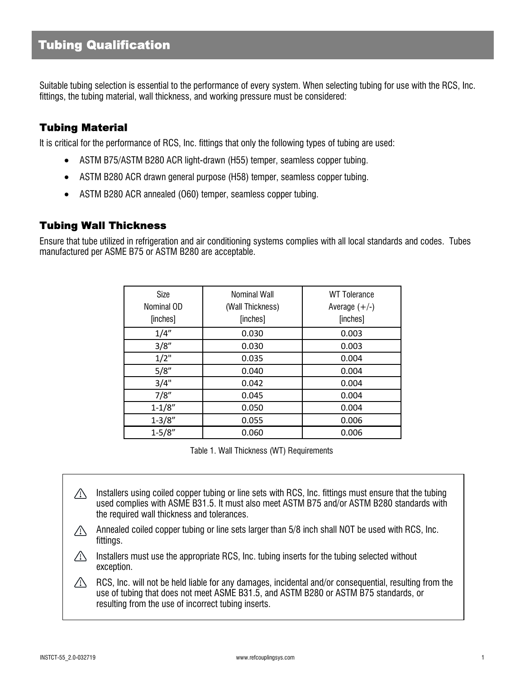# **Tubing Qualification**

Suitable tubing selection is essential to the performance of every system. When selecting tubing for use with the RCS, Inc. fittings, the tubing material, wall thickness, and working pressure must be considered:

#### **Tubing Material**

It is critical for the performance of RCS, Inc. fittings that only the following types of tubing are used:

- ASTM B75/ASTM B280 ACR light-drawn (H55) temper, seamless copper tubing.
- · ASTM B280 ACR drawn general purpose (H58) temper, seamless copper tubing.
- ASTM B280 ACR annealed (060) temper, seamless copper tubing.

#### **Tubing Wall Thickness**

Ensure that tube utilized in refrigeration and air conditioning systems complies with all local standards and codes. Tubes manufactured per ASME B75 or ASTM B280 are acceptable.

| Size<br>Nominal OD<br>[inches] | <b>Nominal Wall</b><br>(Wall Thickness)<br>[inches] | <b>WT</b> Tolerance<br>Average $(+/-)$<br>[inches] |
|--------------------------------|-----------------------------------------------------|----------------------------------------------------|
| 1/4"                           | 0.030                                               | 0.003                                              |
| 3/8''                          | 0.030                                               | 0.003                                              |
| $1/2$ "                        | 0.035                                               | 0.004                                              |
| 5/8"                           | 0.040                                               | 0.004                                              |
| 3/4"                           | 0.042                                               | 0.004                                              |
| 7/8''                          | 0.045                                               | 0.004                                              |
| $1 - 1/8"$                     | 0.050                                               | 0.004                                              |
| $1 - 3/8"$                     | 0.055                                               | 0.006                                              |
| $1 - 5/8"$                     | 0.060                                               | 0.006                                              |

Table 1. Wall Thickness (WT) Requirements

- Installers using coiled copper tubing or line sets with RCS, Inc. fittings must ensure that the tubing  $\triangle$ used complies with ASME B31.5. It must also meet ASTM B75 and/or ASTM B280 standards with the required wall thickness and tolerances.
- Annealed coiled copper tubing or line sets larger than 5/8 inch shall NOT be used with RCS, Inc.  $\sqrt{N}$ fittings.
- $\triangle$ Installers must use the appropriate RCS, Inc. tubing inserts for the tubing selected without exception.
- $\sqrt{N}$ RCS, Inc. will not be held liable for any damages, incidental and/or consequential, resulting from the use of tubing that does not meet ASME B31.5, and ASTM B280 or ASTM B75 standards, or resulting from the use of incorrect tubing inserts.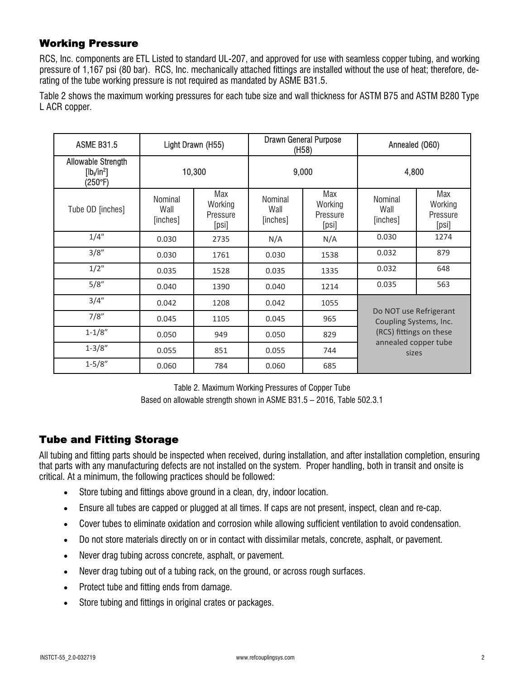#### **Working Pressure**

RCS, Inc. components are ETL Listed to standard UL-207, and approved for use with seamless copper tubing, and working pressure of 1,167 psi (80 bar). RCS, Inc. mechanically attached fittings are installed without the use of heat; therefore, derating of the tube working pressure is not required as mandated by ASME B31.5.

Table 2 shows the maximum working pressures for each tube size and wall thickness for ASTM B75 and ASTM B280 Type L ACR copper.

| <b>ASME B31.5</b>                                         | Light Drawn (H55)           |                                     | <b>Drawn General Purpose</b><br>(H58) |                                     | Annealed (060)                                                                                               |                                     |
|-----------------------------------------------------------|-----------------------------|-------------------------------------|---------------------------------------|-------------------------------------|--------------------------------------------------------------------------------------------------------------|-------------------------------------|
| <b>Allowable Strength</b><br>$[lb_{\nu}/in^2]$<br>(250°F) | 10,300                      |                                     | 9,000                                 |                                     | 4,800                                                                                                        |                                     |
| Tube OD [inches]                                          | Nominal<br>Wall<br>[inches] | Max<br>Working<br>Pressure<br>[psi] | Nominal<br>Wall<br>[inches]           | Max<br>Working<br>Pressure<br>[psi] | Nominal<br>Wall<br>[inches]                                                                                  | Max<br>Working<br>Pressure<br>[psi] |
| 1/4"                                                      | 0.030                       | 2735                                | N/A                                   | N/A                                 | 0.030                                                                                                        | 1274                                |
| 3/8''                                                     | 0.030                       | 1761                                | 0.030                                 | 1538                                | 0.032                                                                                                        | 879                                 |
| $1/2$ "                                                   | 0.035                       | 1528                                | 0.035                                 | 1335                                | 0.032                                                                                                        | 648                                 |
| 5/8''                                                     | 0.040                       | 1390                                | 0.040                                 | 1214                                | 0.035                                                                                                        | 563                                 |
| 3/4''                                                     | 0.042                       | 1208                                | 0.042                                 | 1055                                | Do NOT use Refrigerant<br>Coupling Systems, Inc.<br>(RCS) fittings on these<br>annealed copper tube<br>sizes |                                     |
| 7/8"                                                      | 0.045                       | 1105                                | 0.045                                 | 965                                 |                                                                                                              |                                     |
| $1 - 1/8"$                                                | 0.050                       | 949                                 | 0.050                                 | 829                                 |                                                                                                              |                                     |
| $1 - 3/8"$                                                | 0.055                       | 851                                 | 0.055                                 | 744                                 |                                                                                                              |                                     |
| $1 - 5/8"$                                                | 0.060                       | 784                                 | 0.060                                 | 685                                 |                                                                                                              |                                     |

Table 2. Maximum Working Pressures of Copper Tube

Based on allowable strength shown in ASME B31.5 – 2016, Table 502.3.1

### **Tube and Fitting Storage**

All tubing and fitting parts should be inspected when received, during installation, and after installation completion, ensuring that parts with any manufacturing defects are not installed on the system. Proper handling, both in transit and onsite is critical. At a minimum, the following practices should be followed:

- Store tubing and fittings above ground in a clean, dry, indoor location.
- · Ensure all tubes are capped or plugged at all times. If caps are not present, inspect, clean and re-cap.
- · Cover tubes to eliminate oxidation and corrosion while allowing sufficient ventilation to avoid condensation.
- · Do not store materials directly on or in contact with dissimilar metals, concrete, asphalt, or pavement.
- · Never drag tubing across concrete, asphalt, or pavement.
- · Never drag tubing out of a tubing rack, on the ground, or across rough surfaces.
- · Protect tube and fitting ends from damage.
- · Store tubing and fittings in original crates or packages.